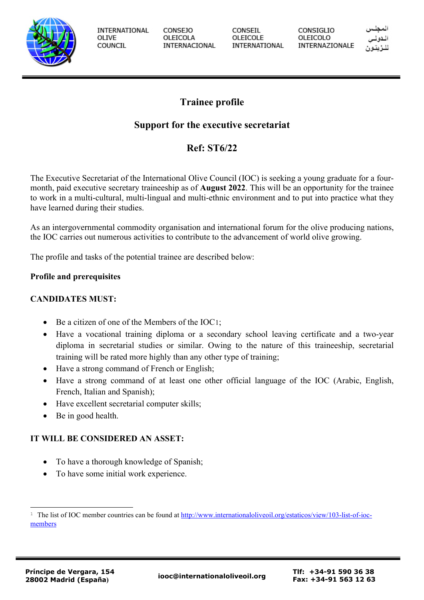

**INTERNATIONAL** OLIVE COUNCIL

**CONSEJO** OLEICOLA INTERNACIONAL CONSEIL OLEICOLE INTERNATIONAL CONSIGLIO OLEICOLO INTERNAZIONALE

# **Trainee profile**

## **Support for the executive secretariat**

# **Ref: ST6/22**

The Executive Secretariat of the International Olive Council (IOC) is seeking a young graduate for a fourmonth, paid executive secretary traineeship as of **August 2022**. This will be an opportunity for the trainee to work in a multi-cultural, multi-lingual and multi-ethnic environment and to put into practice what they have learned during their studies.

As an intergovernmental commodity organisation and international forum for the olive producing nations, the IOC carries out numerous activities to contribute to the advancement of world olive growing.

The profile and tasks of the potential trainee are described below:

## **Profile and prerequisites**

### **CANDIDATES MUST:**

- Be a citizen of one of the Members of the IOC[1](#page-0-0);
- Have a vocational training diploma or a secondary school leaving certificate and a two-year diploma in secretarial studies or similar. Owing to the nature of this traineeship, secretarial training will be rated more highly than any other type of training;
- Have a strong command of French or English;
- Have a strong command of at least one other official language of the IOC (Arabic, English, French, Italian and Spanish);
- Have excellent secretarial computer skills;
- Be in good health.

## **IT WILL BE CONSIDERED AN ASSET:**

- To have a thorough knowledge of Spanish;
- To have some initial work experience.

<span id="page-0-0"></span><sup>&</sup>lt;sup>1</sup> The list of IOC member countries can be found at [http://www.internationaloliveoil.org/estaticos/view/103-list-of-ioc](http://www.internationaloliveoil.org/estaticos/view/103-list-of-ioc-members)[members](http://www.internationaloliveoil.org/estaticos/view/103-list-of-ioc-members)